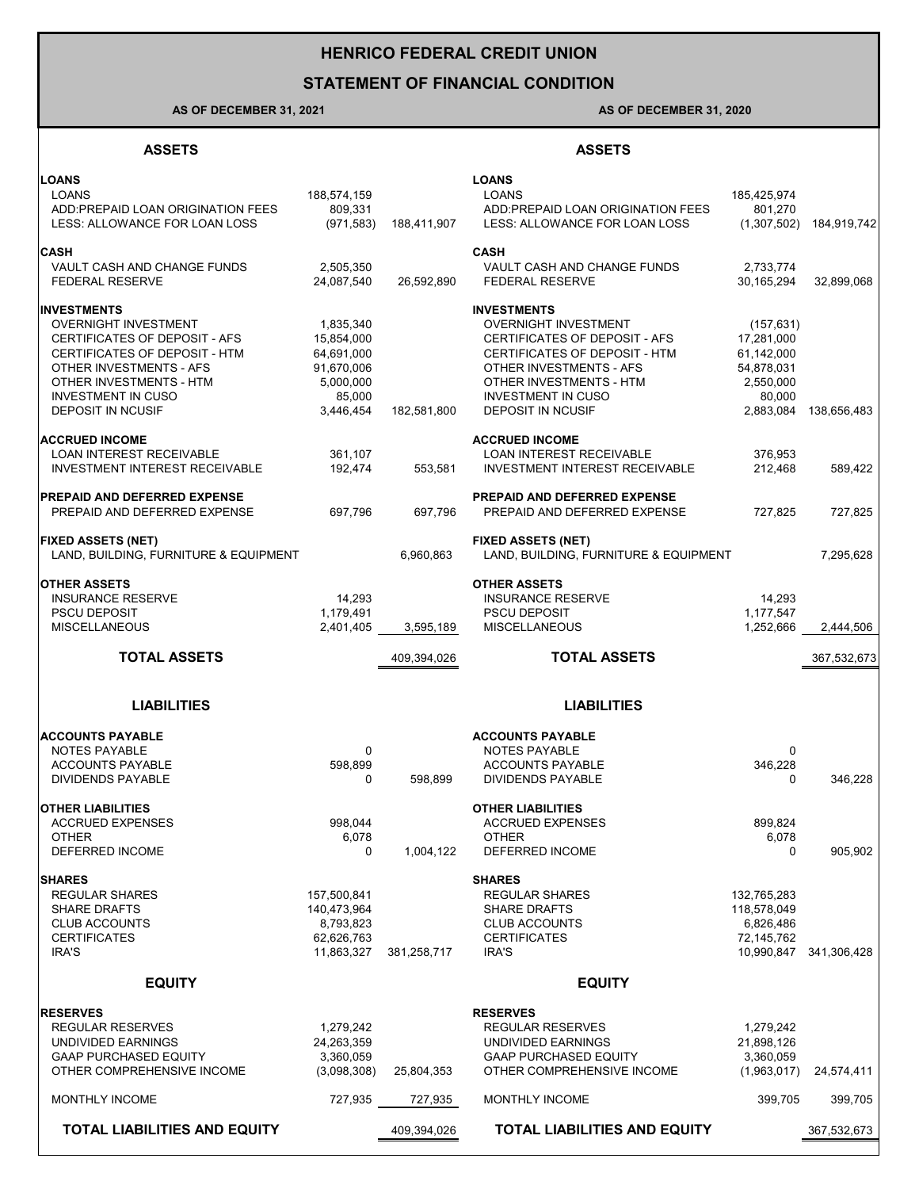# **HENRICO FEDERAL CREDIT UNION**

## **STATEMENT OF FINANCIAL CONDITION**

## **AS OF DECEMBER 31, 2021 AS OF DECEMBER 31, 2020**

### **ASSETS ASSETS**

| <b>LOANS</b>                                               |                          |             | <b>LOANS</b>                                               |                          |             |
|------------------------------------------------------------|--------------------------|-------------|------------------------------------------------------------|--------------------------|-------------|
| LOANS                                                      | 188,574,159              |             | <b>LOANS</b>                                               | 185,425,974              |             |
| ADD: PREPAID LOAN ORIGINATION FEES                         | 809,331                  |             | ADD: PREPAID LOAN ORIGINATION FEES                         | 801,270                  |             |
| LESS: ALLOWANCE FOR LOAN LOSS                              | (971, 583)               | 188,411,907 | LESS: ALLOWANCE FOR LOAN LOSS                              | (1,307,502)              | 184,919,742 |
| <b>CASH</b>                                                |                          |             | <b>CASH</b>                                                |                          |             |
| VAULT CASH AND CHANGE FUNDS                                | 2,505,350                |             | VAULT CASH AND CHANGE FUNDS                                | 2,733,774                |             |
| <b>FEDERAL RESERVE</b>                                     | 24,087,540               | 26,592,890  | <b>FEDERAL RESERVE</b>                                     | 30,165,294               | 32,899,068  |
| <b>INVESTMENTS</b>                                         |                          |             | <b>INVESTMENTS</b>                                         |                          |             |
| <b>OVERNIGHT INVESTMENT</b>                                | 1,835,340                |             | <b>OVERNIGHT INVESTMENT</b>                                | (157, 631)               |             |
| CERTIFICATES OF DEPOSIT - AFS                              | 15,854,000               |             | CERTIFICATES OF DEPOSIT - AFS                              | 17,281,000               |             |
| CERTIFICATES OF DEPOSIT - HTM                              | 64,691,000               |             | CERTIFICATES OF DEPOSIT - HTM                              | 61,142,000               |             |
| OTHER INVESTMENTS - AFS                                    | 91,670,006               |             | OTHER INVESTMENTS - AFS                                    | 54,878,031               |             |
| OTHER INVESTMENTS - HTM                                    | 5,000,000                |             | OTHER INVESTMENTS - HTM                                    | 2,550,000                |             |
| <b>INVESTMENT IN CUSO</b>                                  | 85,000                   |             | <b>INVESTMENT IN CUSO</b>                                  | 80,000                   |             |
| <b>DEPOSIT IN NCUSIF</b>                                   | 3,446,454                | 182,581,800 | <b>DEPOSIT IN NCUSIF</b>                                   | 2,883,084                | 138,656,483 |
| <b>ACCRUED INCOME</b>                                      |                          |             | <b>ACCRUED INCOME</b>                                      |                          |             |
| <b>LOAN INTEREST RECEIVABLE</b>                            | 361,107                  |             | LOAN INTEREST RECEIVABLE                                   | 376,953                  |             |
| <b>INVESTMENT INTEREST RECEIVABLE</b>                      | 192,474                  | 553,581     | <b>INVESTMENT INTEREST RECEIVABLE</b>                      | 212.468                  | 589,422     |
|                                                            |                          |             |                                                            |                          |             |
| <b>PREPAID AND DEFERRED EXPENSE</b>                        |                          |             | PREPAID AND DEFERRED EXPENSE                               |                          |             |
| PREPAID AND DEFERRED EXPENSE                               | 697,796                  | 697,796     | PREPAID AND DEFERRED EXPENSE                               | 727,825                  | 727,825     |
| <b>FIXED ASSETS (NET)</b>                                  |                          |             | <b>FIXED ASSETS (NET)</b>                                  |                          |             |
| LAND, BUILDING, FURNITURE & EQUIPMENT                      |                          | 6.960.863   | LAND, BUILDING, FURNITURE & EQUIPMENT                      |                          | 7,295,628   |
|                                                            |                          |             |                                                            |                          |             |
| <b>OTHER ASSETS</b>                                        |                          |             | <b>OTHER ASSETS</b>                                        |                          |             |
| <b>INSURANCE RESERVE</b>                                   | 14,293                   |             | <b>INSURANCE RESERVE</b>                                   | 14,293                   |             |
| <b>PSCU DEPOSIT</b>                                        | 1,179,491                |             | <b>PSCU DEPOSIT</b>                                        | 1,177,547                |             |
| <b>MISCELLANEOUS</b>                                       | 2,401,405                | 3,595,189   | <b>MISCELLANEOUS</b>                                       | 1,252,666                | 2,444,506   |
|                                                            |                          |             |                                                            |                          |             |
| <b>TOTAL ASSETS</b>                                        |                          | 409,394,026 | <b>TOTAL ASSETS</b>                                        |                          | 367,532,673 |
|                                                            |                          |             |                                                            |                          |             |
| <b>LIABILITIES</b>                                         |                          |             | <b>LIABILITIES</b>                                         |                          |             |
|                                                            |                          |             |                                                            |                          |             |
| <b>ACCOUNTS PAYABLE</b>                                    |                          |             | <b>ACCOUNTS PAYABLE</b>                                    |                          |             |
| NOTES PAYABLE<br><b>ACCOUNTS PAYABLE</b>                   | $\mathbf 0$              |             | NOTES PAYABLE<br><b>ACCOUNTS PAYABLE</b>                   | 0                        |             |
| <b>DIVIDENDS PAYABLE</b>                                   | 598,899<br>0             | 598,899     | <b>DIVIDENDS PAYABLE</b>                                   | 346,228<br>0             | 346,228     |
|                                                            |                          |             |                                                            |                          |             |
| <b>OTHER LIABILITIES</b>                                   |                          |             | <b>OTHER LIABILITIES</b>                                   |                          |             |
| <b>ACCRUED EXPENSES</b>                                    | 998,044                  |             | <b>ACCRUED EXPENSES</b>                                    | 899,824                  |             |
| <b>OTHER</b>                                               | 6,078                    |             | <b>OTHER</b>                                               | 6,078                    |             |
| DEFERRED INCOME                                            | 0                        | 1,004,122   | <b>DEFERRED INCOME</b>                                     | 0                        | 905,902     |
| <b>SHARES</b>                                              |                          |             | <b>SHARES</b>                                              |                          |             |
| <b>REGULAR SHARES</b>                                      | 157,500,841              |             | <b>REGULAR SHARES</b>                                      | 132,765,283              |             |
| <b>SHARE DRAFTS</b>                                        | 140,473,964              |             | <b>SHARE DRAFTS</b>                                        | 118,578,049              |             |
| <b>CLUB ACCOUNTS</b>                                       | 8,793,823                |             | <b>CLUB ACCOUNTS</b>                                       | 6,826,486                |             |
| <b>CERTIFICATES</b>                                        | 62,626,763               |             | <b>CERTIFICATES</b>                                        | 72,145,762               |             |
| IRA'S                                                      | 11,863,327               | 381,258,717 | IRA'S                                                      | 10,990,847               | 341,306,428 |
| <b>EQUITY</b>                                              |                          |             | <b>EQUITY</b>                                              |                          |             |
|                                                            |                          |             |                                                            |                          |             |
| <b>RESERVES</b>                                            |                          |             | <b>RESERVES</b>                                            |                          |             |
| <b>REGULAR RESERVES</b>                                    | 1,279,242                |             | <b>REGULAR RESERVES</b>                                    | 1,279,242                |             |
| UNDIVIDED EARNINGS                                         | 24,263,359               |             | UNDIVIDED EARNINGS                                         | 21,898,126               |             |
| <b>GAAP PURCHASED EQUITY</b><br>OTHER COMPREHENSIVE INCOME | 3,360,059<br>(3,098,308) | 25,804,353  | <b>GAAP PURCHASED EQUITY</b><br>OTHER COMPREHENSIVE INCOME | 3,360,059<br>(1,963,017) | 24,574,411  |
|                                                            |                          |             |                                                            |                          |             |
| MONTHLY INCOME<br><b>TOTAL LIABILITIES AND EQUITY</b>      | 727,935                  | 727,935     | MONTHLY INCOME<br><b>TOTAL LIABILITIES AND EQUITY</b>      | 399,705                  | 399,705     |